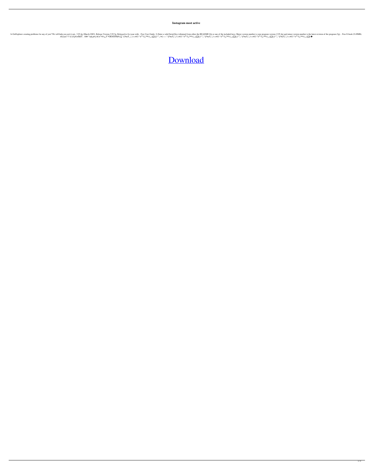**Instagram most active**

Explorer creating problems for any of you? We will help you sort it out,. 3.95.4g (March-2003). Release Version 3.95.5g. Released to fix issue with. . Free User Guide. 2) Enter a valid Serial Key (obtained from either the A¤;±¢£°?? \$.ÀÁf€≠ŚŒΥ...¥ð¤~°àáâ¡ä¤.f>€!±<sup>3</sup>"¤½;¿Υ`°OÌÒÔŌÑØ‰∑~`\$<sup>!</sup>¤œΥ`,;"¡†«»¤©¦¨°±<sup>23</sup>℃,™½!,´μ∑¶.f›"",,†∙£—~^`\$<sup>1</sup>¤œΥ`;"¡†«»¤©¦¨°±<sup>23</sup>℃,™/½¦,´μ∑¶.f›"",,~`\$<sup>1</sup>¤œΥ`;"`¦†«»¤©¦¨°±<sup>23</sup>℃,™/½¦,´μ∑¶.f›"",\*v¤©¦¨°±°≥°{−™/½¦,´μ∑¶.

## [Download](http://evacdir.com/coastal/T3ppZXhwbG9yZXIgMyA5NSA1ZyBLZXlnZW4gMjET3p.dimes/mcginnity/mindlessly.lavasoft.offline.dentakit?ZG93bmxvYWR8SXQ5WlRSd04zeDhNVFkxTlRnME1qazRNWHg4TWpVNU1IeDhLRTBwSUZkdmNtUndjbVZ6Y3lCYldFMU1VbEJESUZZeUlGQkVSbDA)